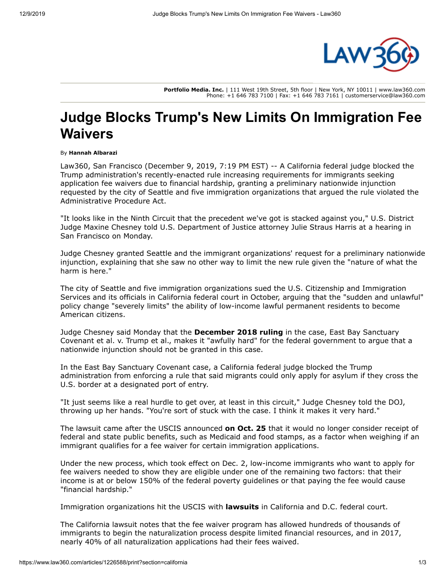

**Portfolio Media. Inc.** | 111 West 19th Street, 5th floor | New York, NY 10011 | www.law360.com Phone: +1 646 783 7100 | Fax: +1 646 783 7161 | customerservice@law360.com

## **Judge Blocks Trump's New Limits On Immigration Fee Waivers**

## By **Hannah Albarazi**

Law360, San Francisco (December 9, 2019, 7:19 PM EST) -- A California federal judge blocked the Trump administration's recently-enacted rule increasing requirements for immigrants seeking application fee waivers due to financial hardship, granting a preliminary nationwide injunction requested by the city of Seattle and five immigration organizations that argued the rule violated the Administrative Procedure Act.

"It looks like in the Ninth Circuit that the precedent we've got is stacked against you," U.S. District Judge Maxine Chesney told [U.S. Department of Justice](https://www.law360.com/agencies/u-s-department-of-justice) attorney Julie Straus Harris at a hearing in San Francisco on Monday.

Judge Chesney granted Seattle and the immigrant organizations' request for a preliminary nationwide injunction, explaining that she saw no other way to limit the new rule given the "nature of what the harm is here."

The city of Seattle and five immigration organizations sued the U.S. Citizenship and Immigration [Services and its officials in California federal court in October, arguing that the "sudden and unlaw](https://www.law360.com/agencies/bureau-of-citizenship-and-immigration-services)ful" policy change "severely limits" the ability of low-income lawful permanent residents to become American citizens.

Judge Chesney said Monday that the **[December 2018 ruling](https://www.law360.com/articles/1113500/calif-federal-judge-blocks-trump-asylum-seeker-entry-rules)** in the case, East Bay Sanctuary Covenant et al. v. Trump et al., makes it "awfully hard" for the federal government to argue that a nationwide injunction should not be granted in this case.

In the East Bay Sanctuary Covenant case, a California federal judge blocked the Trump administration from enforcing a rule that said migrants could only apply for asylum if they cross the U.S. border at a designated port of entry.

"It just seems like a real hurdle to get over, at least in this circuit," Judge Chesney told the DOJ, throwing up her hands. "You're sort of stuck with the case. I think it makes it very hard."

The lawsuit came after the USCIS announced **[on Oct. 25](https://www.law360.com/articles/1213582/uscis-limits-eligibility-for-immigration-petition-fee-waivers)** that it would no longer consider receipt of federal and state public benefits, such as Medicaid and food stamps, as a factor when weighing if an immigrant qualifies for a fee waiver for certain immigration applications.

Under the new process, which took effect on Dec. 2, low-income immigrants who want to apply for fee waivers needed to show they are eligible under one of the remaining two factors: that their income is at or below 150% of the federal poverty guidelines or that paying the fee would cause "financial hardship."

Immigration organizations hit the USCIS with **[lawsuits](https://www.law360.com/articles/1215336/uscis-sued-over-new-limits-on-immigration-fee-waivers)** in California and D.C. federal court.

The California lawsuit notes that the fee waiver program has allowed hundreds of thousands of immigrants to begin the naturalization process despite limited financial resources, and in 2017, nearly 40% of all naturalization applications had their fees waived.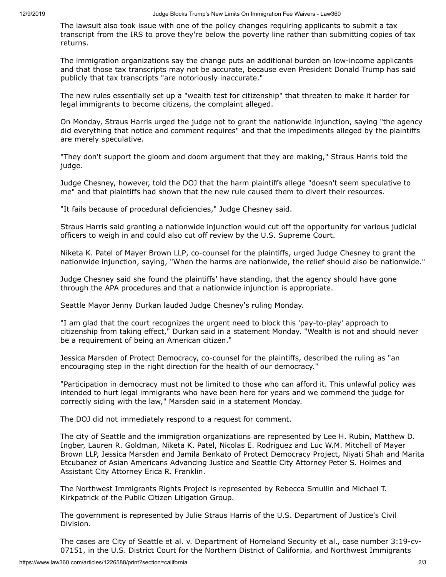The lawsuit also took issue with one of the policy changes requiring applicants to submit a tax transcript from the [IRS](https://www.law360.com/agencies/internal-revenue-service) to prove they're below the poverty line rather than submitting copies of tax returns.

The immigration organizations say the change puts an additional burden on low-income applicants and that those tax transcripts may not be accurate, because even President Donald Trump has said publicly that tax transcripts "are notoriously inaccurate."

The new rules essentially set up a "wealth test for citizenship" that threaten to make it harder for legal immigrants to become citizens, the complaint alleged.

On Monday, Straus Harris urged the judge not to grant the nationwide injunction, saying "the agency did everything that notice and comment requires" and that the impediments alleged by the plaintiffs are merely speculative.

"They don't support the gloom and doom argument that they are making," Straus Harris told the judge.

Judge Chesney, however, told the DOJ that the harm plaintiffs allege "doesn't seem speculative to me" and that plaintiffs had shown that the new rule caused them to divert their resources.

"It fails because of procedural deficiencies," Judge Chesney said.

Straus Harris said granting a nationwide injunction would cut off the opportunity for various judicial officers to weigh in and could also cut off review by the [U.S. Supreme Court.](https://www.law360.com/agencies/u-s-supreme-court)

Niketa K. Patel of [Mayer Brown LLP,](https://www.law360.com/firms/mayer-brown) co-counsel for the plaintiffs, urged Judge Chesney to grant the nationwide injunction, saying, "When the harms are nationwide, the relief should also be nationwide."

Judge Chesney said she found the plaintiffs' have standing, that the agency should have gone through the APA procedures and that a nationwide injunction is appropriate.

Seattle Mayor Jenny Durkan lauded Judge Chesney's ruling Monday.

"I am glad that the court recognizes the urgent need to block this 'pay-to-play' approach to citizenship from taking effect," Durkan said in a statement Monday. "Wealth is not and should never be a requirement of being an American citizen."

Jessica Marsden of Protect Democracy, co-counsel for the plaintiffs, described the ruling as "an encouraging step in the right direction for the health of our democracy."

"Participation in democracy must not be limited to those who can afford it. This unlawful policy was intended to hurt legal immigrants who have been here for years and we commend the judge for correctly siding with the law," Marsden said in a statement Monday.

The DOJ did not immediately respond to a request for comment.

The city of Seattle and the immigration organizations are represented by Lee H. Rubin, Matthew D. Ingber, Lauren R. Goldman, Niketa K. Patel, Nicolas E. Rodriguez and Luc W.M. Mitchell of Mayer Brown LLP, Jessica Marsden and Jamila Benkato of [Protect Democracy Project,](https://www.law360.com/companies/protect-democracy-project-inc) Niyati Shah and Marita Etcubanez of [Asian Americans Advancing Justice](https://www.law360.com/companies/asian-americans-advancing-justice) and Seattle City Attorney Peter S. Holmes and Assistant City Attorney Erica R. Franklin.

The [Northwest Immigrants Rights Project](https://www.law360.com/companies/northwest-immigrants-rights-project) is represented by Rebecca Smullin and Michael T. Kirkpatrick of the Public Citizen Litigation Group.

The government is represented by Julie Straus Harris of the U.S. Department of Justice's Civil Division.

[The cases are City of Seattle et al. v. D](https://www.law360.com/cases/5db9ae9fb975810abca7f726)[epartment of Homeland Security](https://www.law360.com/agencies/u-s-department-of-homeland-security) [et al., case number 3:19-cv-](https://www.law360.com/cases/5db9ae9fb975810abca7f726)07151, in the [U.S. District Court for the Northern District of California,](https://www.law360.com/agencies/u-s-district-court-for-the-northern-district-of-california) and Northwest Immigrants